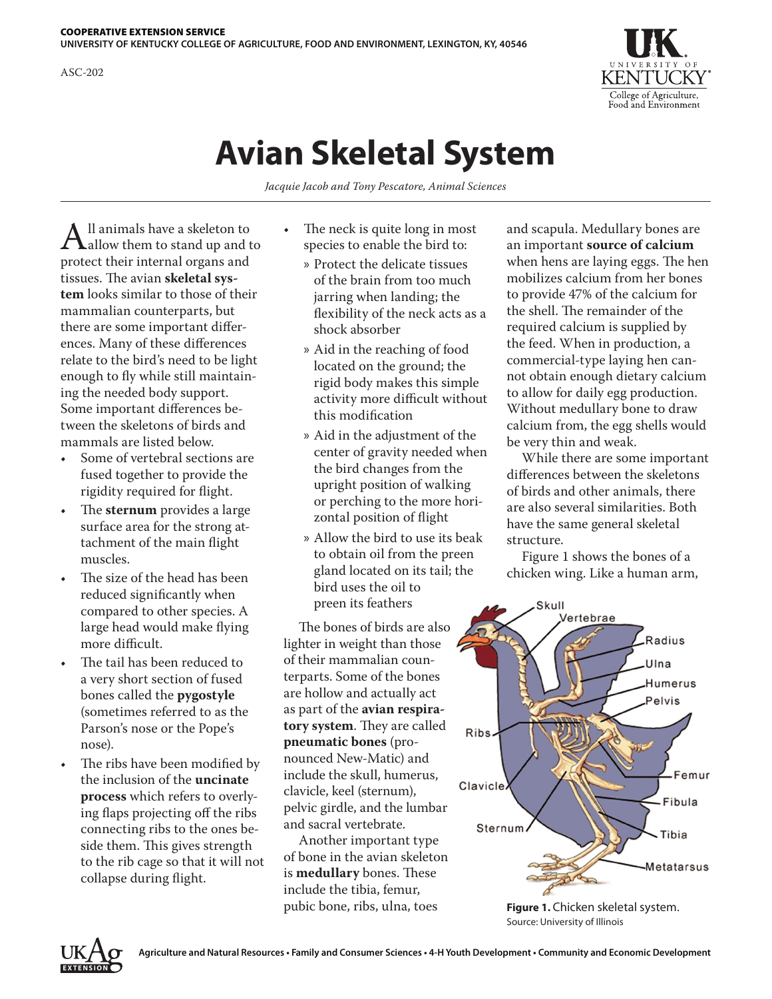**UNIVERSITY OF KENTUCKY COLLEGE OF AGRICULTURE, FOOD AND ENVIRONMENT, LEXINGTON, KY, 40546**



## **Avian Skeletal System**

*Jacquie Jacob and Tony Pescatore, Animal Sciences*

 $A$ ll animals have a skeleton to<br>protect their internal organs and protect their internal organs and tissues. The avian **skeletal system** looks similar to those of their mammalian counterparts, but there are some important differences. Many of these differences relate to the bird's need to be light enough to fly while still maintaining the needed body support. Some important differences between the skeletons of birds and mammals are listed below.

- Some of vertebral sections are fused together to provide the rigidity required for flight.
- The **sternum** provides a large surface area for the strong attachment of the main flight muscles.
- The size of the head has been reduced significantly when compared to other species. A large head would make flying more difficult.
- The tail has been reduced to a very short section of fused bones called the **pygostyle** (sometimes referred to as the Parson's nose or the Pope's nose).
- The ribs have been modified by the inclusion of the **uncinate process** which refers to overlying flaps projecting off the ribs connecting ribs to the ones beside them. This gives strength to the rib cage so that it will not collapse during flight.
- The neck is quite long in most species to enable the bird to:
	- » Protect the delicate tissues of the brain from too much jarring when landing; the flexibility of the neck acts as a shock absorber
	- » Aid in the reaching of food located on the ground; the rigid body makes this simple activity more difficult without this modification
	- » Aid in the adjustment of the center of gravity needed when the bird changes from the upright position of walking or perching to the more horizontal position of flight
	- » Allow the bird to use its beak to obtain oil from the preen gland located on its tail; the bird uses the oil to preen its feathers

The bones of birds are also lighter in weight than those of their mammalian counterparts. Some of the bones are hollow and actually act as part of the **avian respiratory system**. They are called **pneumatic bones** (pronounced New-Matic) and include the skull, humerus, clavicle, keel (sternum), pelvic girdle, and the lumbar and sacral vertebrate.

Another important type of bone in the avian skeleton is **medullary** bones. These include the tibia, femur, pubic bone, ribs, ulna, toes

and scapula. Medullary bones are an important **source of calcium**  when hens are laying eggs. The hen mobilizes calcium from her bones to provide 47% of the calcium for the shell. The remainder of the required calcium is supplied by the feed. When in production, a commercial-type laying hen cannot obtain enough dietary calcium to allow for daily egg production. Without medullary bone to draw calcium from, the egg shells would be very thin and weak.

While there are some important differences between the skeletons of birds and other animals, there are also several similarities. Both have the same general skeletal structure.

Figure 1 shows the bones of a chicken wing. Like a human arm,



**Figure 1.** Chicken skeletal system. Source: University of Illinois



ASC-202

COOPERATIVE EXTENSION SERVICE